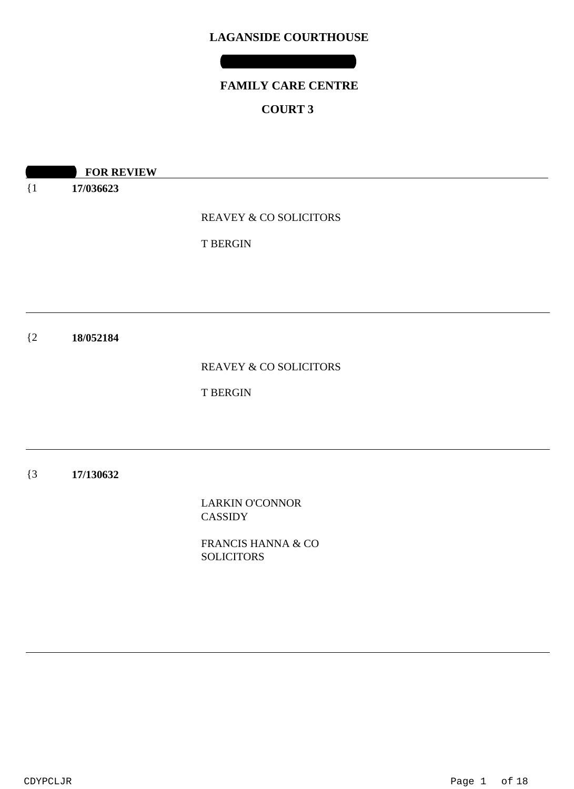# **FAMILY CARE CENTRE**

### **COURT 3**

**10:00 REVIEW** 

{1 **17/036623**

REAVEY & CO SOLICITORS

T BERGIN

 ${2}$ **18/052184**

REAVEY & CO SOLICITORS

T BERGIN

{3 **17/130632**

> LARKIN O'CONNOR CASSIDY

FRANCIS HANNA & CO **SOLICITORS**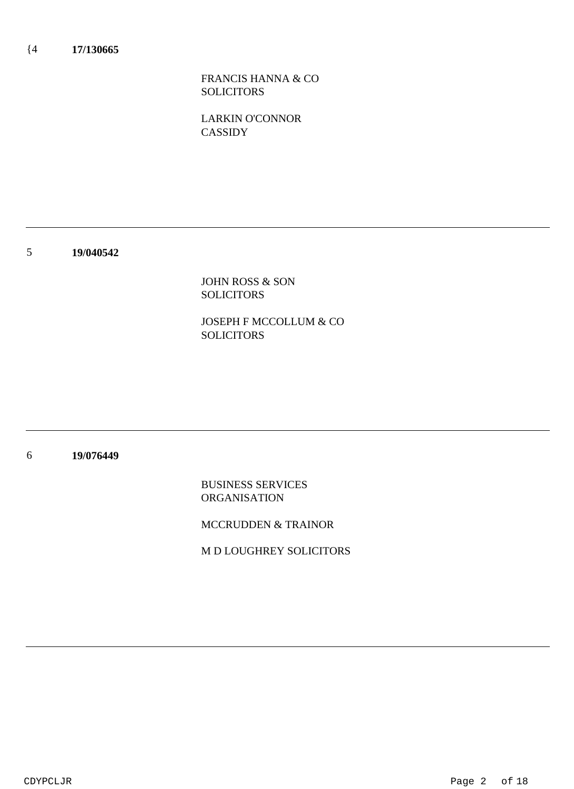FRANCIS HANNA & CO SOLICITORS

LARKIN O'CONNOR **CASSIDY** 

5 **19/040542**

> JOHN ROSS & SON SOLICITORS

JOSEPH F MCCOLLUM & CO **SOLICITORS** 

#### 6 **19/076449**

BUSINESS SERVICES ORGANISATION

MCCRUDDEN & TRAINOR

M D LOUGHREY SOLICITORS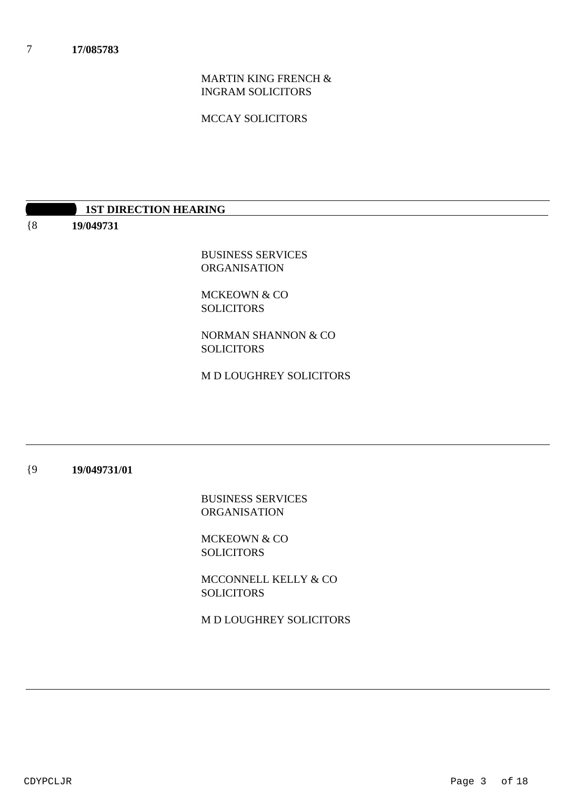MARTIN KING FRENCH & INGRAM SOLICITORS

MCCAY SOLICITORS

### **1ST DIRECTION HEARING**

{8 **19/049731**

> BUSINESS SERVICES ORGANISATION

MCKEOWN & CO SOLICITORS

NORMAN SHANNON & CO SOLICITORS

M D LOUGHREY SOLICITORS

#### {9 **19/049731/01**

BUSINESS SERVICES ORGANISATION

MCKEOWN & CO **SOLICITORS** 

MCCONNELL KELLY & CO **SOLICITORS** 

M D LOUGHREY SOLICITORS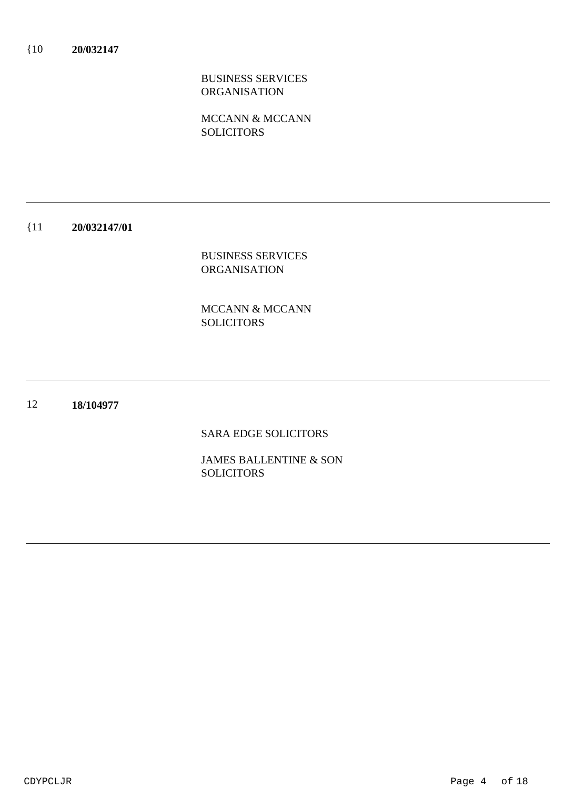MCCANN & MCCANN **SOLICITORS** 

#### {11 **20/032147/01**

BUSINESS SERVICES ORGANISATION

MCCANN & MCCANN SOLICITORS

#### 12 **18/104977**

SARA EDGE SOLICITORS

JAMES BALLENTINE & SON **SOLICITORS**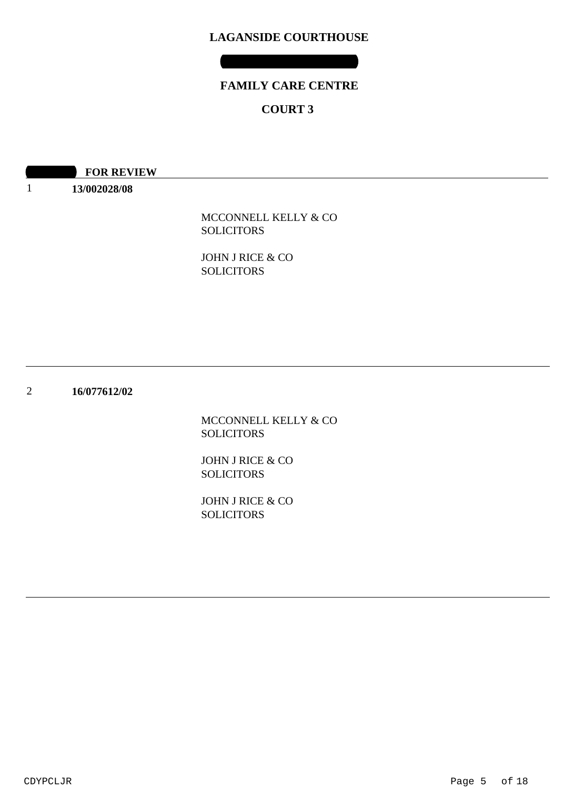## **FAMILY CARE CENTRE**

### **COURT 3**

| <b>FOR REVIEW</b> |
|-------------------|
|-------------------|

**13/002028/08**

1

MCCONNELL KELLY & CO **SOLICITORS** 

JOHN J RICE & CO SOLICITORS

2 **16/077612/02**

> MCCONNELL KELLY & CO SOLICITORS

JOHN J RICE & CO SOLICITORS

JOHN J RICE & CO SOLICITORS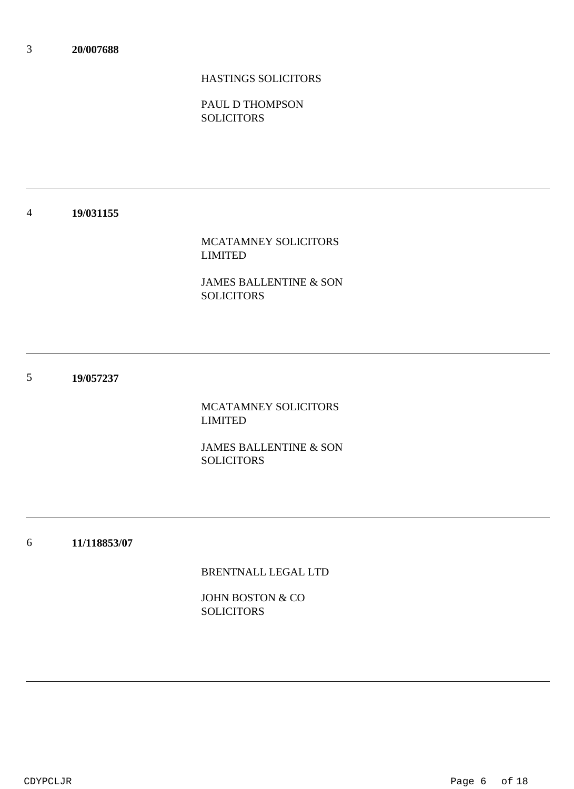### HASTINGS SOLICITORS

PAUL D THOMPSON **SOLICITORS** 

#### 4 **19/031155**

### MCATAMNEY SOLICITORS LIMITED

JAMES BALLENTINE & SON SOLICITORS

5 **19/057237**

> MCATAMNEY SOLICITORS LIMITED

JAMES BALLENTINE & SON **SOLICITORS** 

6 **11/118853/07**

BRENTNALL LEGAL LTD

JOHN BOSTON & CO SOLICITORS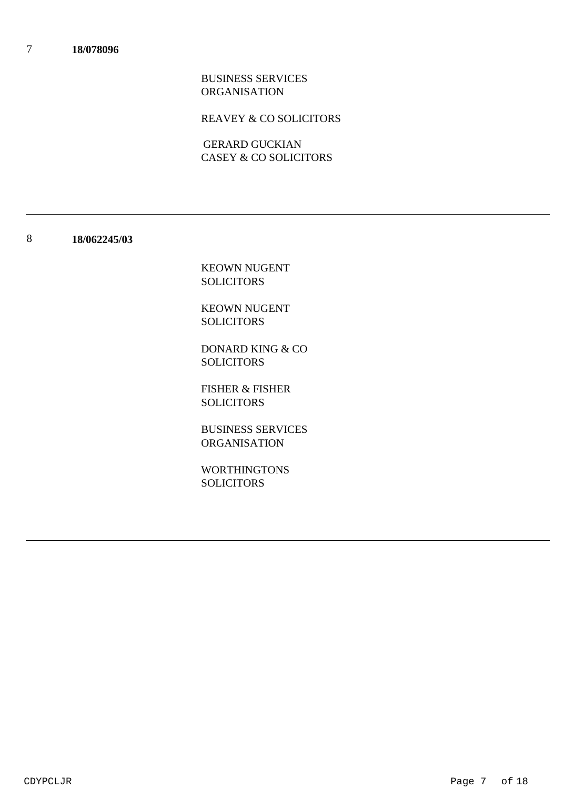REAVEY & CO SOLICITORS

CASEY & CO SOLICITORS GERARD GUCKIAN

#### 8 **18/062245/03**

KEOWN NUGENT SOLICITORS

KEOWN NUGENT SOLICITORS

DONARD KING & CO **SOLICITORS** 

FISHER & FISHER SOLICITORS

BUSINESS SERVICES ORGANISATION

WORTHINGTONS **SOLICITORS**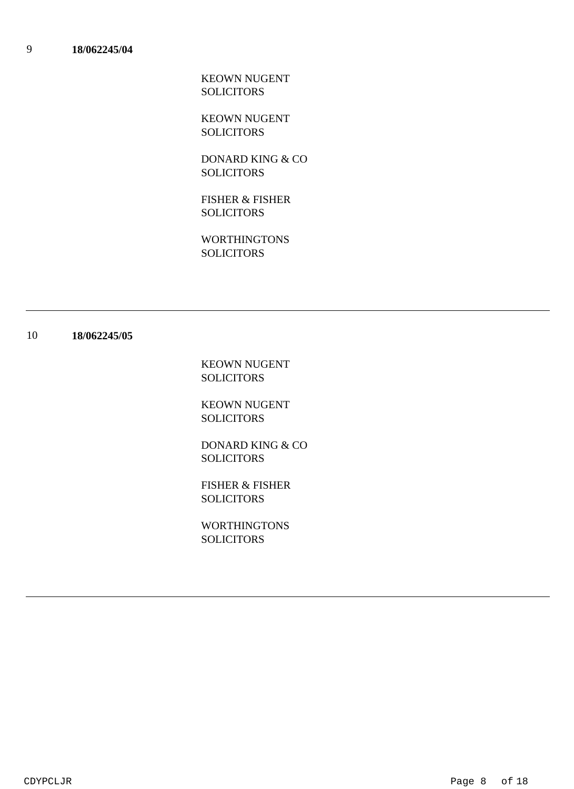KEOWN NUGENT SOLICITORS

KEOWN NUGENT **SOLICITORS** 

DONARD KING & CO **SOLICITORS** 

FISHER & FISHER **SOLICITORS** 

WORTHINGTONS **SOLICITORS** 

#### 10 **18/062245/05**

KEOWN NUGENT SOLICITORS

KEOWN NUGENT SOLICITORS

DONARD KING & CO SOLICITORS

FISHER & FISHER **SOLICITORS** 

WORTHINGTONS SOLICITORS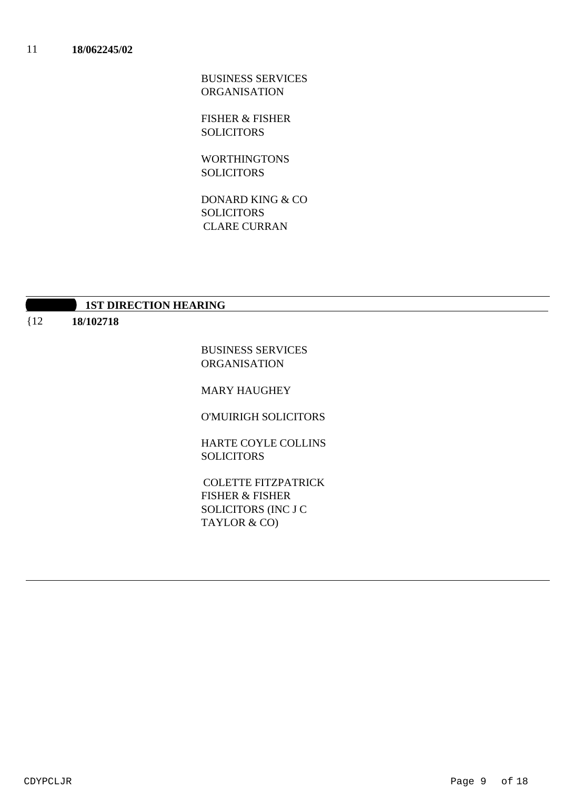FISHER & FISHER **SOLICITORS** 

WORTHINGTONS **SOLICITORS** 

DONARD KING & CO **SOLICITORS** CLARE CURRAN

|        | <b>1ST DIRECTION HEARING</b> |
|--------|------------------------------|
| ${12}$ | 18/102718                    |
|        | BIICHIDGG GEBITAN            |

BUSINESS SERVICES ORGANISATION

MARY HAUGHEY

O'MUIRIGH SOLICITORS

HARTE COYLE COLLINS SOLICITORS

FISHER & FISHER SOLICITORS (INC J C TAYLOR & CO) COLETTE FITZPATRICK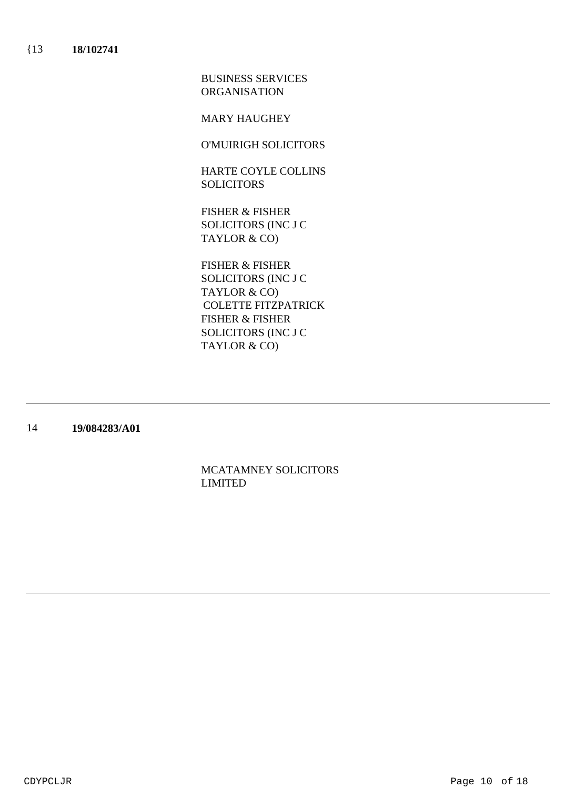MARY HAUGHEY

O'MUIRIGH SOLICITORS

HARTE COYLE COLLINS SOLICITORS

FISHER & FISHER SOLICITORS (INC J C TAYLOR & CO)

FISHER & FISHER SOLICITORS (INC J C TAYLOR & CO) FISHER & FISHER SOLICITORS (INC J C TAYLOR & CO) COLETTE FITZPATRICK

14 **19/084283/A01**

> MCATAMNEY SOLICITORS LIMITED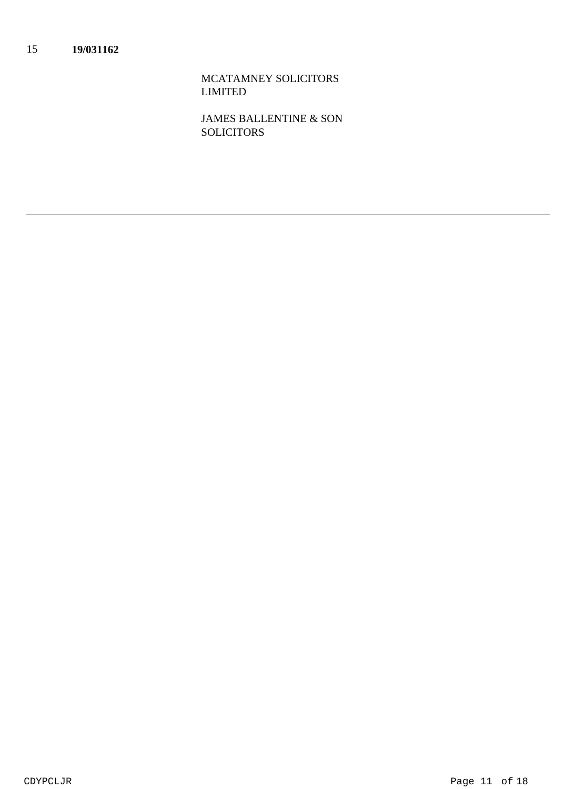MCATAMNEY SOLICITORS LIMITED

JAMES BALLENTINE & SON **SOLICITORS**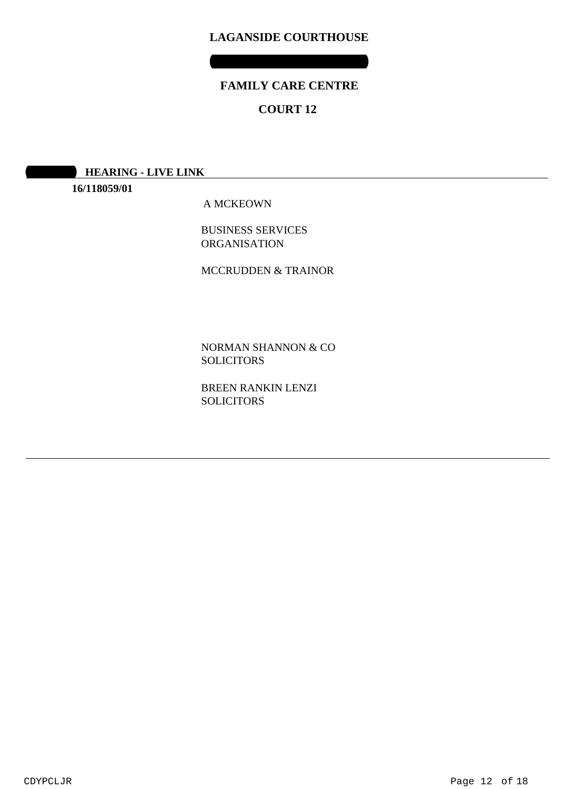### **FAMILY CARE CENTRE**

### **COURT 12**

**10:30 AM HEARING - LIVE LINK** 

**16/118059/01**

A MCKEOWN

BUSINESS SERVICES ORGANISATION

MCCRUDDEN & TRAINOR

NORMAN SHANNON & CO SOLICITORS

BREEN RANKIN LENZI **SOLICITORS**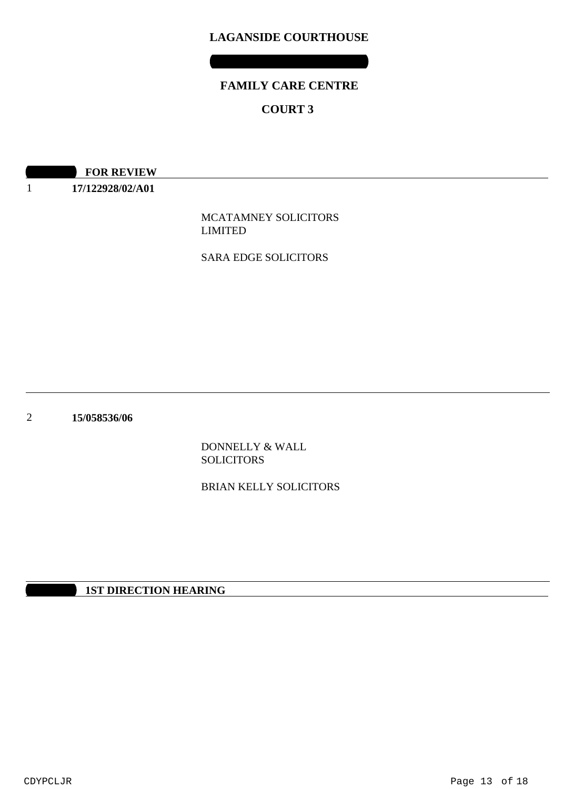# **FAMILY CARE CENTRE COURT 3**

**10:00 REVIEW** 

1 **17/122928/02/A01**

> MCATAMNEY SOLICITORS LIMITED

SARA EDGE SOLICITORS

2 **15/058536/06**

> DONNELLY & WALL SOLICITORS

BRIAN KELLY SOLICITORS

**1ST DIRECTION HEARING**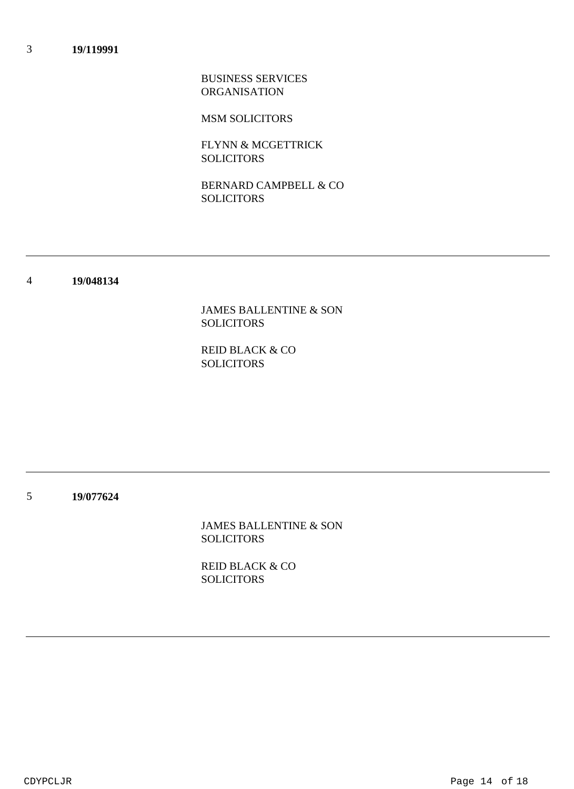MSM SOLICITORS

FLYNN & MCGETTRICK SOLICITORS

BERNARD CAMPBELL & CO **SOLICITORS** 

#### 4 **19/048134**

JAMES BALLENTINE & SON SOLICITORS

REID BLACK & CO SOLICITORS

5 **19/077624**

> JAMES BALLENTINE & SON **SOLICITORS**

REID BLACK & CO SOLICITORS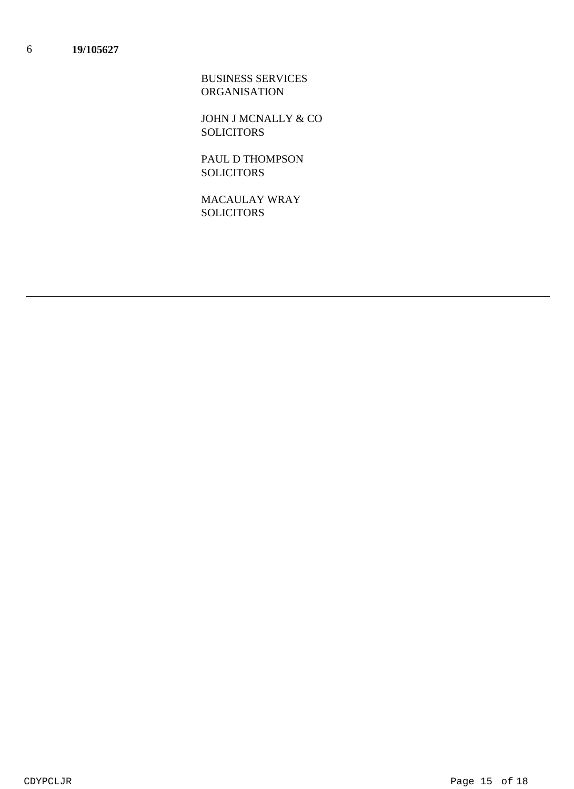JOHN J MCNALLY & CO **SOLICITORS** 

PAUL D THOMPSON **SOLICITORS** 

MACAULAY WRAY SOLICITORS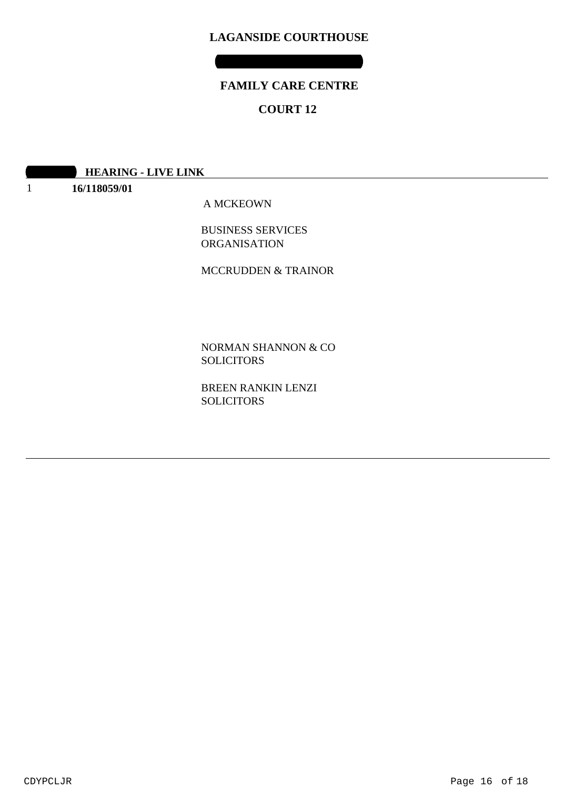### **FAMILY CARE CENTRE**

### **COURT 12**

| <b>HEARING - LIVE LINK</b> |
|----------------------------|
|                            |

1 **16/118059/01**

A MCKEOWN

BUSINESS SERVICES ORGANISATION

MCCRUDDEN & TRAINOR

NORMAN SHANNON & CO SOLICITORS

BREEN RANKIN LENZI **SOLICITORS**